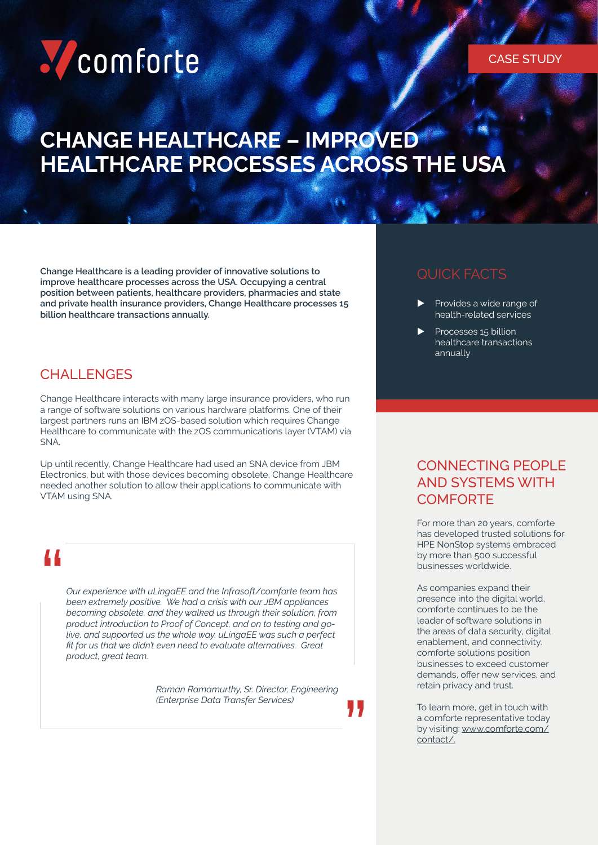## Comforte

### **CHANGE HEALTHCARE – IMPROVED HEALTHCARE PROCESSES ACROSS THE USA**

**Change Healthcare is a leading provider of innovative solutions to improve healthcare processes across the USA. Occupying a central position between patients, healthcare providers, pharmacies and state and private health insurance providers, Change Healthcare processes 15 billion healthcare transactions annually.**

#### **CHALLENGES**

Change Healthcare interacts with many large insurance providers, who run a range of software solutions on various hardware platforms. One of their largest partners runs an IBM zOS-based solution which requires Change Healthcare to communicate with the zOS communications layer (VTAM) via SNA.

Up until recently, Change Healthcare had used an SNA device from JBM Electronics, but with those devices becoming obsolete, Change Healthcare needed another solution to allow their applications to communicate with VTAM using SNA.

# "

*Our experience with uLingaEE and the Infrasoft/comforte team has been extremely positive. We had a crisis with our JBM appliances becoming obsolete, and they walked us through their solution, from product introduction to Proof of Concept, and on to testing and golive, and supported us the whole way. uLingaEE was such a perfect fit for us that we didn't even need to evaluate alternatives. Great product, great team.* 

> *Raman Ramamurthy, Sr. Director, Engineering (Enterprise Data Transfer Services)*

"

#### QUICK FACTS

- Provides a wide range of health-related services
- Processes 15 billion healthcare transactions annually

#### CONNECTING PEOPLE AND SYSTEMS WITH **COMFORTE**

For more than 20 years, comforte has developed trusted solutions for HPE NonStop systems embraced by more than 500 successful businesses worldwide.

As companies expand their presence into the digital world, comforte continues to be the leader of software solutions in the areas of data security, digital enablement, and connectivity. comforte solutions position businesses to exceed customer demands, offer new services, and retain privacy and trust.

To learn more, get in touch with a comforte representative today by visiting: [www.comforte.com/](http://www.comforte.com/contact/) [contact/.](http://www.comforte.com/contact/)